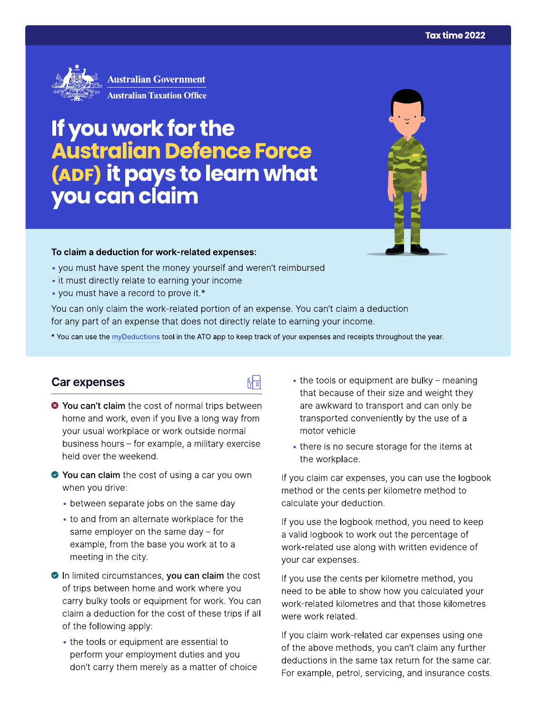

# If you work for the<br>Australian Defence Force (ADF) it pays to learn what you can claim



#### To claim a deduction for work-related expenses:

- you must have spent the money yourself and weren't reimbursed
- it must directly relate to earning your income
- you must have a record to prove it.\*

You can only claim the work-related portion of an expense. You can't claim a deduction for any part of an expense that does not directly relate to earning your income.

\* You can use the myDeductions tool in the ATO app to keep track of your expenses and receipts throughout the year.

品

## **Car expenses**

- <sup>●</sup> You can't claim the cost of normal trips between home and work, even if you live a long way from your usual workplace or work outside normal business hours - for example, a military exercise held over the weekend.
- ◆ You can claim the cost of using a car you own when you drive:
	- between separate jobs on the same day
	- to and from an alternate workplace for the same employer on the same day  $-$  for example, from the base you work at to a meeting in the city.
- In limited circumstances, you can claim the cost of trips between home and work where you carry bulky tools or equipment for work. You can claim a deduction for the cost of these trips if all of the following apply:
	- the tools or equipment are essential to perform your employment duties and you don't carry them merely as a matter of choice
- $\bullet$  the tools or equipment are bulky meaning that because of their size and weight they are awkward to transport and can only be transported conveniently by the use of a motor vehicle
- there is no secure storage for the items at the workplace.

If you claim car expenses, you can use the logbook method or the cents per kilometre method to calculate your deduction.

If you use the logbook method, you need to keep a valid logbook to work out the percentage of work-related use along with written evidence of your car expenses.

If you use the cents per kilometre method, you need to be able to show how you calculated your work-related kilometres and that those kilometres were work related.

If you claim work-related car expenses using one of the above methods, you can't claim any further deductions in the same tax return for the same car. For example, petrol, servicing, and insurance costs.